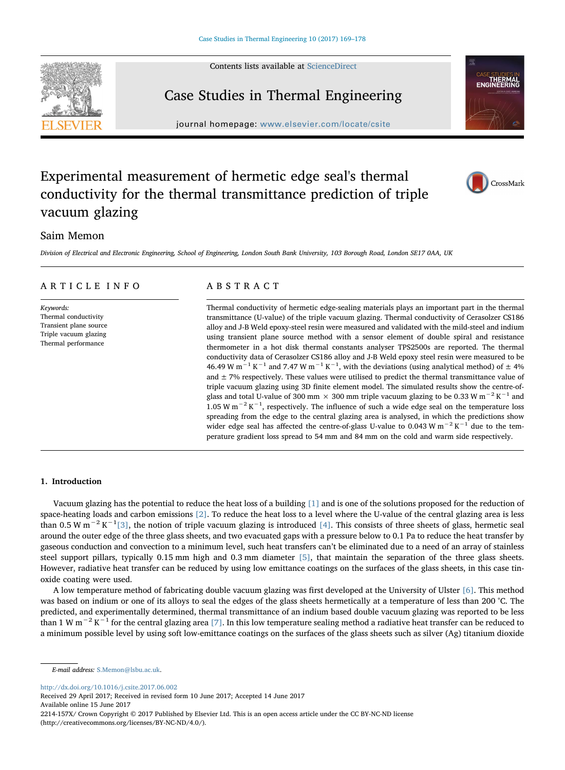Contents lists available at [ScienceDirect](http://www.sciencedirect.com/science/journal/2214157X)



# Case Studies in Thermal Engineering

 $j<sub>i</sub>$  is a homepage: where  $c<sub>i</sub>$  is a complementary complex  $c<sub>i</sub>$ 



CrossMark

# Experimental measurement of hermetic edge seal's thermal conductivity for the thermal transmittance prediction of triple vacuum glazing

# Saim Memon

Division of Electrical and Electronic Engineering, School of Engineering, London South Bank University, 103 Borough Road, London SE17 0AA, UK

# ARTICLE INFO

Keywords: Thermal conductivity Transient plane source Triple vacuum glazing Thermal performance

# ABSTRACT

Thermal conductivity of hermetic edge-sealing materials plays an important part in the thermal transmittance (U-value) of the triple vacuum glazing. Thermal conductivity of Cerasolzer CS186 alloy and J-B Weld epoxy-steel resin were measured and validated with the mild-steel and indium using transient plane source method with a sensor element of double spiral and resistance thermometer in a hot disk thermal constants analyser TPS2500s are reported. The thermal conductivity data of Cerasolzer CS186 alloy and J-B Weld epoxy steel resin were measured to be 46.49 W m<sup>-1</sup> K<sup>-1</sup> and 7.47 W m<sup>-1</sup> K<sup>-1</sup>, with the deviations (using analytical method) of  $\pm$  4% and  $\pm$  7% respectively. These values were utilised to predict the thermal transmittance value of triple vacuum glazing using 3D finite element model. The simulated results show the centre-ofglass and total U-value of 300 mm  $\times$  300 mm triple vacuum glazing to be 0.33 W m<sup>-2</sup> K<sup>-1</sup> and 1.05 W m<sup>-2</sup> K<sup>-1</sup>, respectively. The influence of such a wide edge seal on the temperature loss spreading from the edge to the central glazing area is analysed, in which the predictions show wider edge seal has affected the centre-of-glass U-value to 0.043 W  $m^{-2} K^{-1}$  due to the temperature gradient loss spread to 54 mm and 84 mm on the cold and warm side respectively.

#### 1. Introduction

Vacuum glazing has the potential to reduce the heat loss of a building [\[1\]](#page-9-0) and is one of the solutions proposed for the reduction of space-heating loads and carbon emissions [\[2\].](#page-9-1) To reduce the heat loss to a level where the U-value of the central glazing area is less than 0.5 W m<sup>-2</sup> K<sup>-1</sup>[\[3\],](#page-9-2) the notion of triple vacuum glazing is introduced [\[4\].](#page-9-3) This consists of three sheets of glass, hermetic seal around the outer edge of the three glass sheets, and two evacuated gaps with a pressure below to 0.1 Pa to reduce the heat transfer by gaseous conduction and convection to a minimum level, such heat transfers can't be eliminated due to a need of an array of stainless steel support pillars, typically 0.15 mm high and 0.3 mm diameter [\[5\]](#page-9-4), that maintain the separation of the three glass sheets. However, radiative heat transfer can be reduced by using low emittance coatings on the surfaces of the glass sheets, in this case tinoxide coating were used.

A low temperature method of fabricating double vacuum glazing was first developed at the University of Ulster [\[6\].](#page-9-5) This method was based on indium or one of its alloys to seal the edges of the glass sheets hermetically at a temperature of less than 200 °C. The predicted, and experimentally determined, thermal transmittance of an indium based double vacuum glazing was reported to be less than 1 W m<sup>-2</sup> K<sup>-1</sup> for the central glazing area [\[7\]](#page-9-6). In this low temperature sealing method a radiative heat transfer can be reduced to a minimum possible level by using soft low-emittance coatings on the surfaces of the glass sheets such as silver (Ag) titanium dioxide

<http://dx.doi.org/10.1016/j.csite.2017.06.002>

Received 29 April 2017; Received in revised form 10 June 2017; Accepted 14 June 2017 Available online 15 June 2017

2214-157X/ Crown Copyright © 2017 Published by Elsevier Ltd. This is an open access article under the CC BY-NC-ND license (http://creativecommons.org/licenses/BY-NC-ND/4.0/).

E-mail address: [S.Memon@lsbu.ac.uk](mailto:S.Memon@lsbu.ac.uk).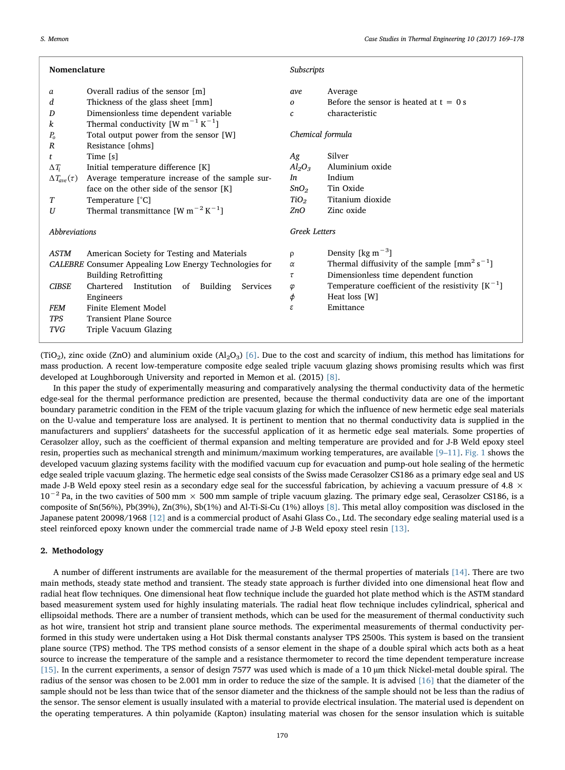| Nomenclature                                           |                                                     | Subscripts           |                                                                               |
|--------------------------------------------------------|-----------------------------------------------------|----------------------|-------------------------------------------------------------------------------|
| a                                                      | Overall radius of the sensor [m]                    | ave                  | Average                                                                       |
| d                                                      | Thickness of the glass sheet [mm]                   | $\Omega$             | Before the sensor is heated at $t = 0$ s                                      |
| D                                                      | Dimensionless time dependent variable               | c                    | characteristic                                                                |
| k                                                      | Thermal conductivity $[W m^{-1} K^{-1}]$            |                      |                                                                               |
| $P_{o}$                                                | Total output power from the sensor [W]              | Chemical formula     |                                                                               |
| $\boldsymbol{R}$                                       | Resistance [ohms]                                   |                      |                                                                               |
| t                                                      | Time [s]                                            | Ag                   | Silver                                                                        |
| $\Delta T_i$                                           | Initial temperature difference [K]                  | $Al_2O_3$            | Aluminium oxide                                                               |
| $\Delta T_{\rm ave}(\tau)$                             | Average temperature increase of the sample sur-     | In                   | Indium                                                                        |
|                                                        | face on the other side of the sensor [K]            | SnO <sub>2</sub>     | Tin Oxide                                                                     |
| T                                                      | Temperature [°C]                                    | TiO <sub>2</sub>     | Titanium dioxide                                                              |
| U                                                      | Thermal transmittance $[W m^{-2} K^{-1}]$           | ZnO                  | Zinc oxide                                                                    |
|                                                        |                                                     |                      |                                                                               |
| <b>Abbreviations</b>                                   |                                                     | <b>Greek Letters</b> |                                                                               |
| <b>ASTM</b>                                            | American Society for Testing and Materials          | ρ                    | Density [ $\text{kg m}^{-3}$ ]                                                |
| CALEBRE Consumer Appealing Low Energy Technologies for |                                                     | $\alpha$             | Thermal diffusivity of the sample $\left[ \text{mm}^2 \text{ s}^{-1} \right]$ |
|                                                        | <b>Building Retrofitting</b>                        | τ                    | Dimensionless time dependent function                                         |
| <b>CIBSE</b>                                           | Chartered Institution<br>Building<br>Services<br>of | φ                    | Temperature coefficient of the resistivity $[K^{-1}]$                         |
|                                                        | Engineers                                           | φ                    | Heat loss [W]                                                                 |
| <b>FEM</b>                                             | Finite Element Model                                | ε                    | Emittance                                                                     |
| <b>TPS</b>                                             | <b>Transient Plane Source</b>                       |                      |                                                                               |
| <b>TVG</b>                                             | Triple Vacuum Glazing                               |                      |                                                                               |
|                                                        |                                                     |                      |                                                                               |

(TiO<sub>2</sub>), zinc oxide (ZnO) and aluminium oxide (Al<sub>2</sub>O<sub>3</sub>) [\[6\].](#page-9-5) Due to the cost and scarcity of indium, this method has limitations for mass production. A recent low-temperature composite edge sealed triple vacuum glazing shows promising results which was first developed at Loughborough University and reported in Memon et al. (2015) [\[8\].](#page-9-7)

In this paper the study of experimentally measuring and comparatively analysing the thermal conductivity data of the hermetic edge-seal for the thermal performance prediction are presented, because the thermal conductivity data are one of the important boundary parametric condition in the FEM of the triple vacuum glazing for which the influence of new hermetic edge seal materials on the U-value and temperature loss are analysed. It is pertinent to mention that no thermal conductivity data is supplied in the manufacturers and suppliers' datasheets for the successful application of it as hermetic edge seal materials. Some properties of Cerasolzer alloy, such as the coefficient of thermal expansion and melting temperature are provided and for J-B Weld epoxy steel resin, properties such as mechanical strength and minimum/maximum working temperatures, are available [9–[11\].](#page-9-8) [Fig. 1](#page-2-0) shows the developed vacuum glazing systems facility with the modified vacuum cup for evacuation and pump-out hole sealing of the hermetic edge sealed triple vacuum glazing. The hermetic edge seal consists of the Swiss made Cerasolzer CS186 as a primary edge seal and US made J-B Weld epoxy steel resin as a secondary edge seal for the successful fabrication, by achieving a vacuum pressure of 4.8  $\times$  $10^{-2}$  Pa, in the two cavities of 500 mm × 500 mm sample of triple vacuum glazing. The primary edge seal, Cerasolzer CS186, is a composite of Sn(56%), Pb(39%), Zn(3%), Sb(1%) and Al-Ti-Si-Cu (1%) alloys [\[8\].](#page-9-7) This metal alloy composition was disclosed in the Japanese patent 20098/1968 [\[12\]](#page-9-9) and is a commercial product of Asahi Glass Co., Ltd. The secondary edge sealing material used is a steel reinforced epoxy known under the commercial trade name of J-B Weld epoxy steel resin [\[13\].](#page-9-10)

#### <span id="page-1-0"></span>2. Methodology

A number of different instruments are available for the measurement of the thermal properties of materials [\[14\].](#page-9-11) There are two main methods, steady state method and transient. The steady state approach is further divided into one dimensional heat flow and radial heat flow techniques. One dimensional heat flow technique include the guarded hot plate method which is the ASTM standard based measurement system used for highly insulating materials. The radial heat flow technique includes cylindrical, spherical and ellipsoidal methods. There are a number of transient methods, which can be used for the measurement of thermal conductivity such as hot wire, transient hot strip and transient plane source methods. The experimental measurements of thermal conductivity performed in this study were undertaken using a Hot Disk thermal constants analyser TPS 2500s. This system is based on the transient plane source (TPS) method. The TPS method consists of a sensor element in the shape of a double spiral which acts both as a heat source to increase the temperature of the sample and a resistance thermometer to record the time dependent temperature increase [\[15\].](#page-9-12) In the current experiments, a sensor of design 7577 was used which is made of a 10 µm thick Nickel-metal double spiral. The radius of the sensor was chosen to be 2.001 mm in order to reduce the size of the sample. It is advised [\[16\]](#page-9-13) that the diameter of the sample should not be less than twice that of the sensor diameter and the thickness of the sample should not be less than the radius of the sensor. The sensor element is usually insulated with a material to provide electrical insulation. The material used is dependent on the operating temperatures. A thin polyamide (Kapton) insulating material was chosen for the sensor insulation which is suitable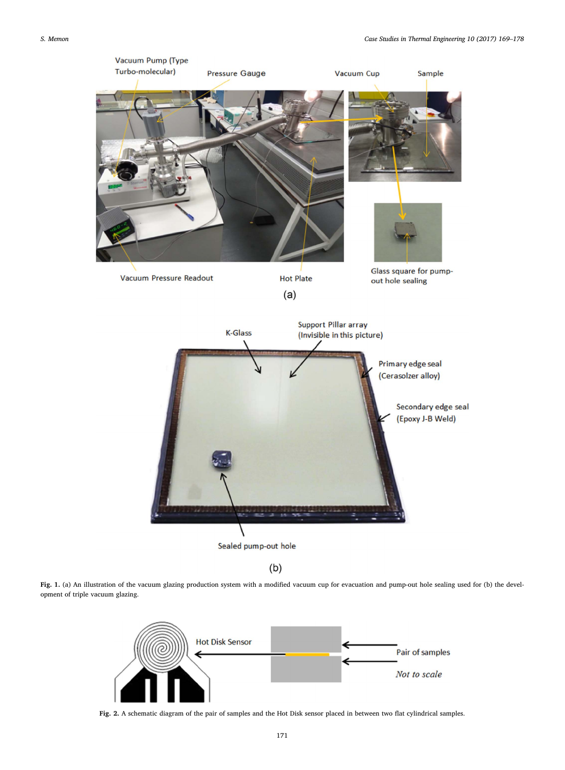<span id="page-2-0"></span>

Sealed pump-out hole

 $(b)$ 

<span id="page-2-1"></span>Fig. 1. (a) An illustration of the vacuum glazing production system with a modified vacuum cup for evacuation and pump-out hole sealing used for (b) the development of triple vacuum glazing.



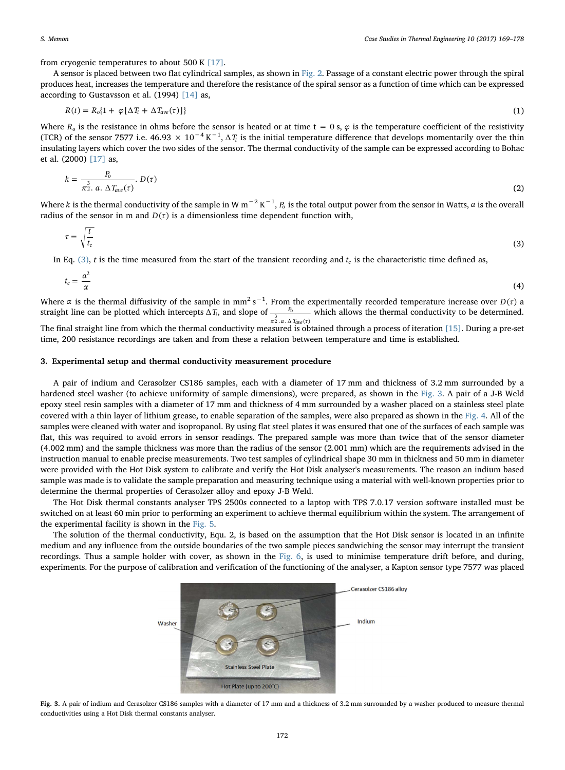from cryogenic temperatures to about 500 K  $[17]$ .

A sensor is placed between two flat cylindrical samples, as shown in [Fig. 2](#page-2-1). Passage of a constant electric power through the spiral produces heat, increases the temperature and therefore the resistance of the spiral sensor as a function of time which can be expressed according to Gustavsson et al. (1994) [\[14\]](#page-9-11) as,

$$
R(t) = R_o\{1 + \varphi[\Delta T_i + \Delta T_{ave}(\tau)]\}
$$
\n(1)

Where  $R_0$  is the resistance in ohms before the sensor is heated or at time t = 0 s,  $\varphi$  is the temperature coefficient of the resistivity (TCR) of the sensor 7577 i.e.  $46.93 \times 10^{-4} K^{-1}$ ,  $\Delta T_i$  is the initial temperature difference that develops momentarily over the thin insulating layers which cover the two sides of the sensor. The thermal conductivity of the sample can be expressed according to Bohac et al. (2000) [\[17\]](#page-9-14) as,

$$
k = \frac{P_o}{\pi \dot{2} \cdot a \cdot \Delta T_{ave}(\tau)} \cdot D(\tau) \tag{2}
$$

<span id="page-3-0"></span>Where *k* is the thermal conductivity of the sample in W m<sup>−2</sup> K<sup>−1</sup>, *P*<sub>0</sub> is the total output power from the sensor in Watts, *a* is the overall radius of the sensor in m and  $D(\tau)$  is a dimensionless time dependent function with,

$$
\tau = \sqrt{\frac{t}{t_c}}\tag{3}
$$

In Eq.  $(3)$ , t is the time measured from the start of the transient recording and  $t_c$  is the characteristic time defined as,

$$
t_c = \frac{a^2}{\alpha} \tag{4}
$$

Where  $\alpha$  is the thermal diffusivity of the sample in mm<sup>2</sup> s<sup>-1</sup>. From the experimentally recorded temperature increase over  $D(\tau)$  a straight line can be plotted which intercepts  $\Delta T_i$ , and slope of  $\frac{P_i}{\pi \bar{Z} \cdot a \cdot \Delta}$ *P*  $\pi \overline{2}$  .  $a \cdot \Delta T_{ave}(\tau)$ *o*  $\frac{3}{2}$ .a.  $\Delta T_{ave}$  $\frac{P_0}{P_0}$  which allows the thermal conductivity to be determined. The final straight line from which the thermal conductivity measured is obtained through a process of iteration [\[15\].](#page-9-12) During a pre-set

time, 200 resistance recordings are taken and from these a relation between temperature and time is established.

## 3. Experimental setup and thermal conductivity measurement procedure

A pair of indium and Cerasolzer CS186 samples, each with a diameter of 17 mm and thickness of 3.2 mm surrounded by a hardened steel washer (to achieve uniformity of sample dimensions), were prepared, as shown in the [Fig. 3](#page-3-1). A pair of a J-B Weld epoxy steel resin samples with a diameter of 17 mm and thickness of 4 mm surrounded by a washer placed on a stainless steel plate covered with a thin layer of lithium grease, to enable separation of the samples, were also prepared as shown in the [Fig. 4](#page-4-0). All of the samples were cleaned with water and isopropanol. By using flat steel plates it was ensured that one of the surfaces of each sample was flat, this was required to avoid errors in sensor readings. The prepared sample was more than twice that of the sensor diameter (4.002 mm) and the sample thickness was more than the radius of the sensor (2.001 mm) which are the requirements advised in the instruction manual to enable precise measurements. Two test samples of cylindrical shape 30 mm in thickness and 50 mm in diameter were provided with the Hot Disk system to calibrate and verify the Hot Disk analyser's measurements. The reason an indium based sample was made is to validate the sample preparation and measuring technique using a material with well-known properties prior to determine the thermal properties of Cerasolzer alloy and epoxy J-B Weld.

The Hot Disk thermal constants analyser TPS 2500s connected to a laptop with TPS 7.0.17 version software installed must be switched on at least 60 min prior to performing an experiment to achieve thermal equilibrium within the system. The arrangement of the experimental facility is shown in the [Fig. 5](#page-4-1).

The solution of the thermal conductivity, Equ. 2, is based on the assumption that the Hot Disk sensor is located in an infinite medium and any influence from the outside boundaries of the two sample pieces sandwiching the sensor may interrupt the transient recordings. Thus a sample holder with cover, as shown in the [Fig. 6](#page-5-0), is used to minimise temperature drift before, and during, experiments. For the purpose of calibration and verification of the functioning of the analyser, a Kapton sensor type 7577 was placed

<span id="page-3-1"></span>

Fig. 3. A pair of indium and Cerasolzer CS186 samples with a diameter of 17 mm and a thickness of 3.2 mm surrounded by a washer produced to measure thermal conductivities using a Hot Disk thermal constants analyser.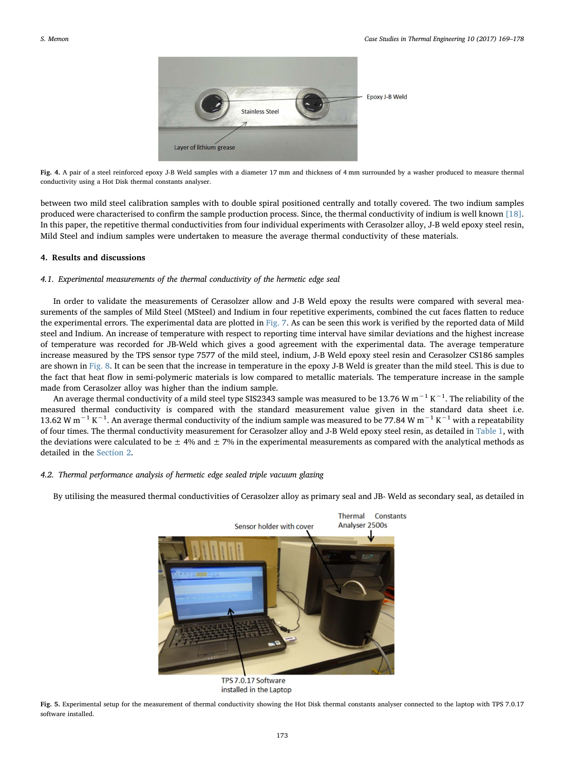<span id="page-4-0"></span>

Fig. 4. A pair of a steel reinforced epoxy J-B Weld samples with a diameter 17 mm and thickness of 4 mm surrounded by a washer produced to measure thermal conductivity using a Hot Disk thermal constants analyser.

between two mild steel calibration samples with to double spiral positioned centrally and totally covered. The two indium samples produced were characterised to confirm the sample production process. Since, the thermal conductivity of indium is well known [\[18\].](#page-9-15) In this paper, the repetitive thermal conductivities from four individual experiments with Cerasolzer alloy, J-B weld epoxy steel resin, Mild Steel and indium samples were undertaken to measure the average thermal conductivity of these materials.

## 4. Results and discussions

#### 4.1. Experimental measurements of the thermal conductivity of the hermetic edge seal

In order to validate the measurements of Cerasolzer allow and J-B Weld epoxy the results were compared with several measurements of the samples of Mild Steel (MSteel) and Indium in four repetitive experiments, combined the cut faces flatten to reduce the experimental errors. The experimental data are plotted in [Fig. 7](#page-5-1). As can be seen this work is verified by the reported data of Mild steel and Indium. An increase of temperature with respect to reporting time interval have similar deviations and the highest increase of temperature was recorded for JB-Weld which gives a good agreement with the experimental data. The average temperature increase measured by the TPS sensor type 7577 of the mild steel, indium, J-B Weld epoxy steel resin and Cerasolzer CS186 samples are shown in [Fig. 8.](#page-6-0) It can be seen that the increase in temperature in the epoxy J-B Weld is greater than the mild steel. This is due to the fact that heat flow in semi-polymeric materials is low compared to metallic materials. The temperature increase in the sample made from Cerasolzer alloy was higher than the indium sample.

An average thermal conductivity of a mild steel type SIS2343 sample was measured to be 13.76 W m $^{-1}$  K $^{-1}$ . The reliability of the measured thermal conductivity is compared with the standard measurement value given in the standard data sheet i.e. 13.62 W m<sup>−1</sup> K<sup>−1</sup>. An average thermal conductivity of the indium sample was measured to be 77.84 W m<sup>−1</sup> K<sup>−1</sup> with a repeatability of four times. The thermal conductivity measurement for Cerasolzer alloy and J-B Weld epoxy steel resin, as detailed in [Table 1,](#page-6-1) with the deviations were calculated to be  $\pm$  4% and  $\pm$  7% in the experimental measurements as compared with the analytical methods as detailed in the [Section 2](#page-1-0).

## 4.2. Thermal performance analysis of hermetic edge sealed triple vacuum glazing

<span id="page-4-1"></span>By utilising the measured thermal conductivities of Cerasolzer alloy as primary seal and JB- Weld as secondary seal, as detailed in



TPS 7.0.17 Software installed in the Laptop

Fig. 5. Experimental setup for the measurement of thermal conductivity showing the Hot Disk thermal constants analyser connected to the laptop with TPS 7.0.17 software installed.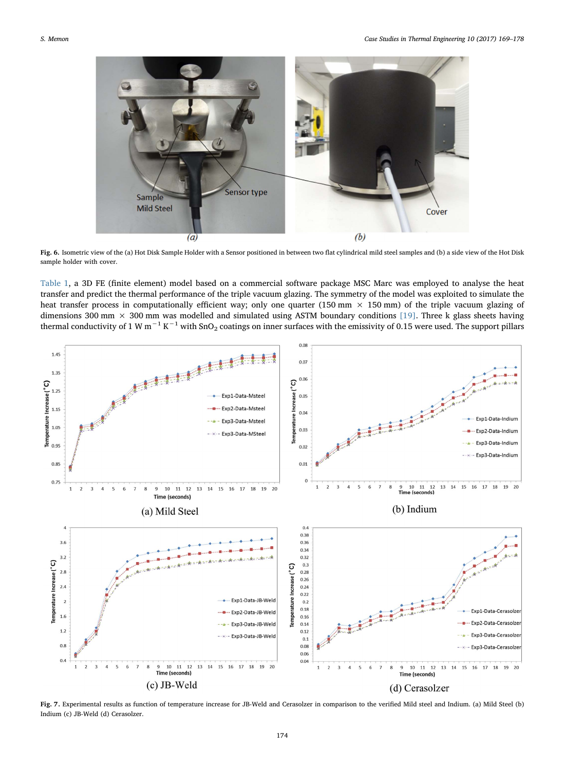<span id="page-5-0"></span>

Fig. 6. Isometric view of the (a) Hot Disk Sample Holder with a Sensor positioned in between two flat cylindrical mild steel samples and (b) a side view of the Hot Disk sample holder with cover.

[Table 1](#page-6-1), a 3D FE (finite element) model based on a commercial software package MSC Marc was employed to analyse the heat transfer and predict the thermal performance of the triple vacuum glazing. The symmetry of the model was exploited to simulate the heat transfer process in computationally efficient way; only one quarter (150 mm  $\times$  150 mm) of the triple vacuum glazing of dimensions 300 mm  $\times$  300 mm was modelled and simulated using ASTM boundary conditions [\[19\].](#page-9-16) Three k glass sheets having thermal conductivity of 1 W m<sup>-1</sup> K<sup>-1</sup> with SnO<sub>2</sub> coatings on inner surfaces with the emissivity of 0.15 were used. The support pillars

<span id="page-5-1"></span>

Fig. 7. Experimental results as function of temperature increase for JB-Weld and Cerasolzer in comparison to the verified Mild steel and Indium. (a) Mild Steel (b) Indium (c) JB-Weld (d) Cerasolzer.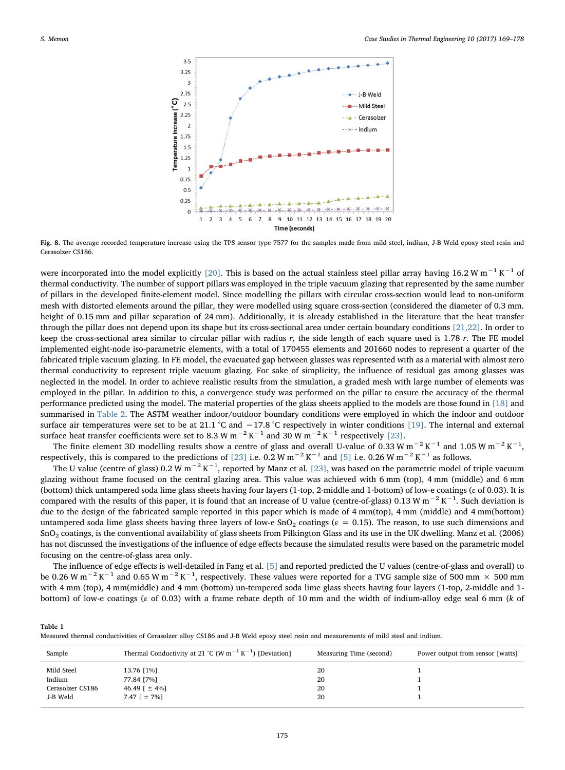<span id="page-6-0"></span>

Fig. 8. The average recorded temperature increase using the TPS sensor type 7577 for the samples made from mild steel, indium, J-B Weld epoxy steel resin and Cerasolzer CS186.

were incorporated into the model explicitly [\[20\].](#page-9-17) This is based on the actual stainless steel pillar array having 16.2 W m<sup>−1</sup> K<sup>−1</sup> of thermal conductivity. The number of support pillars was employed in the triple vacuum glazing that represented by the same number of pillars in the developed finite-element model. Since modelling the pillars with circular cross-section would lead to non-uniform mesh with distorted elements around the pillar, they were modelled using square cross-section (considered the diameter of 0.3 mm. height of 0.15 mm and pillar separation of 24 mm). Additionally, it is already established in the literature that the heat transfer through the pillar does not depend upon its shape but its cross-sectional area under certain boundary conditions [\[21,22\]](#page-9-18). In order to keep the cross-sectional area similar to circular pillar with radius r, the side length of each square used is 1.78 r. The FE model implemented eight-node iso-parametric elements, with a total of 170455 elements and 201660 nodes to represent a quarter of the fabricated triple vacuum glazing. In FE model, the evacuated gap between glasses was represented with as a material with almost zero thermal conductivity to represent triple vacuum glazing. For sake of simplicity, the influence of residual gas among glasses was neglected in the model. In order to achieve realistic results from the simulation, a graded mesh with large number of elements was employed in the pillar. In addition to this, a convergence study was performed on the pillar to ensure the accuracy of the thermal performance predicted using the model. The material properties of the glass sheets applied to the models are those found in [\[18\]](#page-9-15) and summarised in [Table 2.](#page-7-0) The ASTM weather indoor/outdoor boundary conditions were employed in which the indoor and outdoor surface air temperatures were set to be at 21.1 °C and −17.8 °C respectively in winter conditions [\[19\].](#page-9-16) The internal and external surface heat transfer coefficients were set to 8.3 W m<sup>-2</sup> K<sup>-1</sup> and 30 W m<sup>-2</sup> K<sup>-1</sup> respectively [\[23\].](#page-9-19)

The finite element 3D modelling results show a centre of glass and overall U-value of 0.33 W m<sup>-2</sup> K<sup>-1</sup> and 1.05 W m<sup>-2</sup> K<sup>-1</sup>, respectively, this is compared to the predictions of [\[23\]](#page-9-19) i.e. 0.2 W m<sup>-2</sup> K<sup>-1</sup> and [\[5\]](#page-9-4) i.e. 0.26 W m<sup>-2</sup> K<sup>-1</sup> as follows.

The U value (centre of glass) 0.2 W m<sup>-2</sup> K<sup>-1</sup>, reported by Manz et al. [\[23\],](#page-9-19) was based on the parametric model of triple vacuum glazing without frame focused on the central glazing area. This value was achieved with 6 mm (top), 4 mm (middle) and 6 mm (bottom) thick untampered soda lime glass sheets having four layers (1-top, 2-middle and 1-bottom) of low-e coatings (ε of 0.03). It is compared with the results of this paper, it is found that an increase of U value (centre-of-glass) 0.13 W m<sup>-2</sup> K<sup>-1</sup>. Such deviation is due to the design of the fabricated sample reported in this paper which is made of 4 mm(top), 4 mm (middle) and 4 mm(bottom) untampered soda lime glass sheets having three layers of low-e SnO<sub>2</sub> coatings ( $\varepsilon = 0.15$ ). The reason, to use such dimensions and SnO2 coatings, is the conventional availability of glass sheets from Pilkington Glass and its use in the UK dwelling. Manz et al. (2006) has not discussed the investigations of the influence of edge effects because the simulated results were based on the parametric model focusing on the centre-of-glass area only.

The influence of edge effects is well-detailed in Fang et al. [\[5\]](#page-9-4) and reported predicted the U values (centre-of-glass and overall) to be 0.26 W m<sup>−2</sup> K<sup>−1</sup> and 0.65 W m<sup>−2</sup> K<sup>−1</sup>, respectively. These values were reported for a TVG sample size of 500 mm × 500 mm with 4 mm (top), 4 mm(middle) and 4 mm (bottom) un-tempered soda lime glass sheets having four layers (1-top, 2-middle and 1 bottom) of low-e coatings (ε of 0.03) with a frame rebate depth of 10 mm and the width of indium-alloy edge seal 6 mm (k of

<span id="page-6-1"></span>

| Table 1                                                                                                                             |  |  |
|-------------------------------------------------------------------------------------------------------------------------------------|--|--|
| Measured thermal conductivities of Cerasolzer alloy CS186 and J-B Weld epoxy steel resin and measurements of mild steel and indium. |  |  |

| Sample           | Thermal Conductivity at 21 °C (W m <sup>-1</sup> K <sup>-1</sup> ) [Deviation] | Measuring Time (second) | Power output from sensor [watts] |
|------------------|--------------------------------------------------------------------------------|-------------------------|----------------------------------|
| Mild Steel       | 13.76 [1%]                                                                     | 20                      |                                  |
| Indium           | 77.84 [7%]                                                                     | 20                      |                                  |
| Cerasolzer CS186 | 46.49 $\pm$ 4%]                                                                | 20                      |                                  |
| J-B Weld         | 7.47 $\lceil \pm 7\% \rceil$                                                   | 20                      |                                  |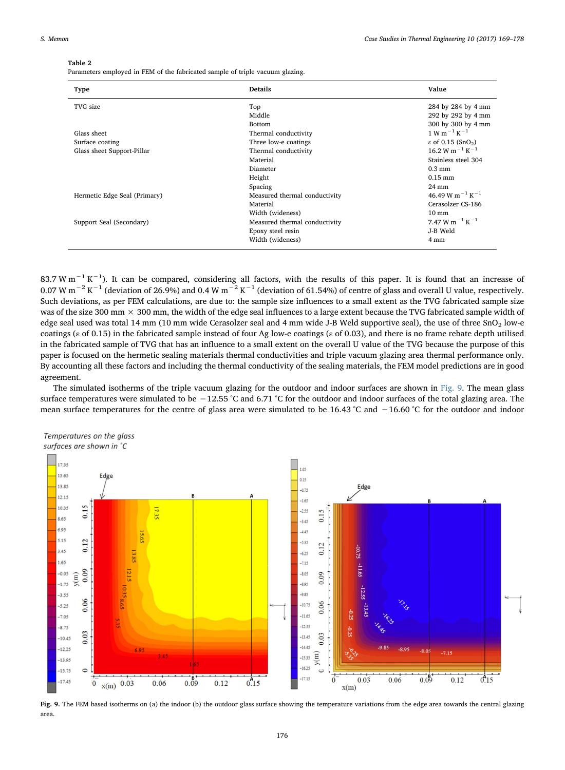#### <span id="page-7-0"></span>Table 2

Parameters employed in FEM of the fabricated sample of triple vacuum glazing.

| Type                         | <b>Details</b>                | Value                                                             |
|------------------------------|-------------------------------|-------------------------------------------------------------------|
| TVG size                     | Top                           | 284 by 284 by 4 mm                                                |
|                              | Middle                        | 292 by 292 by 4 mm                                                |
|                              | <b>Bottom</b>                 | 300 by 300 by 4 mm                                                |
| Glass sheet                  | Thermal conductivity          | $1 W m^{-1} K^{-1}$                                               |
| Surface coating              | Three low-e coatings          | ε of 0.15 (SnO <sub>2</sub> )                                     |
| Glass sheet Support-Pillar   | Thermal conductivity          | $16.2 W m^{-1} K^{-1}$                                            |
|                              | Material                      | Stainless steel 304                                               |
|                              | Diameter                      | $0.3 \text{ mm}$                                                  |
|                              | Height                        | $0.15$ mm                                                         |
|                              | Spacing                       | $24 \text{ mm}$                                                   |
| Hermetic Edge Seal (Primary) | Measured thermal conductivity | 46.49 W m <sup><math>-1</math></sup> K <sup><math>-1</math></sup> |
|                              | Material                      | Cerasolzer CS-186                                                 |
|                              | Width (wideness)              | $10 \text{ mm}$                                                   |
| Support Seal (Secondary)     | Measured thermal conductivity | 7.47 W m <sup><math>-1</math></sup> K <sup><math>-1</math></sup>  |
|                              | Epoxy steel resin             | J-B Weld                                                          |
|                              | Width (wideness)              | 4 mm                                                              |

83.7 W m<sup>-1</sup> K<sup>-1</sup>). It can be compared, considering all factors, with the results of this paper. It is found that an increase of 0.07 W m−<sup>2</sup> K−<sup>1</sup> (deviation of 26.9%) and 0.4 W m−<sup>2</sup> K−<sup>1</sup> (deviation of 61.54%) of centre of glass and overall U value, respectively. Such deviations, as per FEM calculations, are due to: the sample size influences to a small extent as the TVG fabricated sample size was of the size 300 mm  $\times$  300 mm, the width of the edge seal influences to a large extent because the TVG fabricated sample width of edge seal used was total 14 mm (10 mm wide Cerasolzer seal and 4 mm wide J-B Weld supportive seal), the use of three SnO<sub>2</sub> low-e coatings (ε of 0.15) in the fabricated sample instead of four Ag low-e coatings (ε of 0.03), and there is no frame rebate depth utilised in the fabricated sample of TVG that has an influence to a small extent on the overall U value of the TVG because the purpose of this paper is focused on the hermetic sealing materials thermal conductivities and triple vacuum glazing area thermal performance only. By accounting all these factors and including the thermal conductivity of the sealing materials, the FEM model predictions are in good agreement.

The simulated isotherms of the triple vacuum glazing for the outdoor and indoor surfaces are shown in [Fig. 9](#page-7-1). The mean glass surface temperatures were simulated to be −12.55 °C and 6.71 °C for the outdoor and indoor surfaces of the total glazing area. The mean surface temperatures for the centre of glass area were simulated to be 16.43 °C and −16.60 °C for the outdoor and indoor

<span id="page-7-1"></span>



Fig. 9. The FEM based isotherms on (a) the indoor (b) the outdoor glass surface showing the temperature variations from the edge area towards the central glazing area.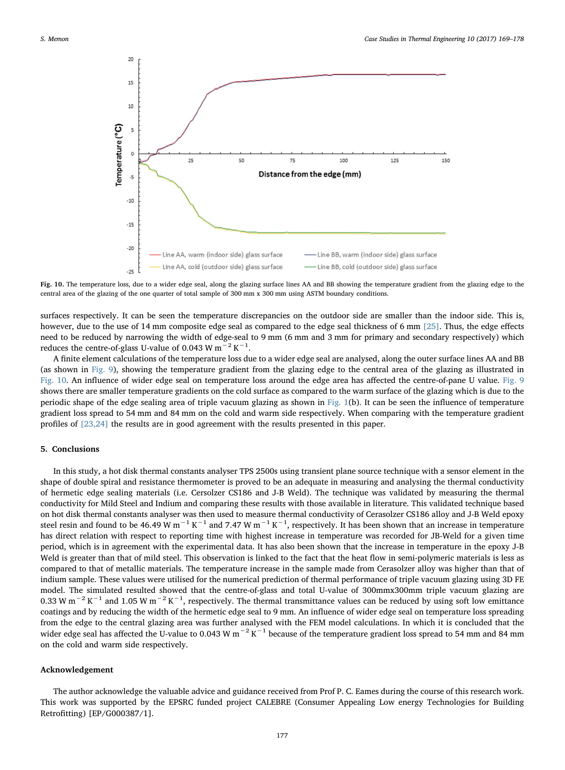<span id="page-8-0"></span>

Fig. 10. The temperature loss, due to a wider edge seal, along the glazing surface lines AA and BB showing the temperature gradient from the glazing edge to the central area of the glazing of the one quarter of total sample of 300 mm x 300 mm using ASTM boundary conditions.

surfaces respectively. It can be seen the temperature discrepancies on the outdoor side are smaller than the indoor side. This is, however, due to the use of 14 mm composite edge seal as compared to the edge seal thickness of 6 mm [\[25\].](#page-9-20) Thus, the edge effects need to be reduced by narrowing the width of edge-seal to 9 mm (6 mm and 3 mm for primary and secondary respectively) which reduces the centre-of-glass U-value of 0.043 W m<sup>-2</sup> K<sup>-1</sup>.

A finite element calculations of the temperature loss due to a wider edge seal are analysed, along the outer surface lines AA and BB (as shown in [Fig. 9](#page-7-1)), showing the temperature gradient from the glazing edge to the central area of the glazing as illustrated in [Fig. 10.](#page-8-0) An influence of wider edge seal on temperature loss around the edge area has affected the centre-of-pane U value. [Fig. 9](#page-7-1) shows there are smaller temperature gradients on the cold surface as compared to the warm surface of the glazing which is due to the periodic shape of the edge sealing area of triple vacuum glazing as shown in [Fig. 1](#page-2-0)(b). It can be seen the influence of temperature gradient loss spread to 54 mm and 84 mm on the cold and warm side respectively. When comparing with the temperature gradient profiles of [\[23,24\]](#page-9-19) the results are in good agreement with the results presented in this paper.

## 5. Conclusions

In this study, a hot disk thermal constants analyser TPS 2500s using transient plane source technique with a sensor element in the shape of double spiral and resistance thermometer is proved to be an adequate in measuring and analysing the thermal conductivity of hermetic edge sealing materials (i.e. Cersolzer CS186 and J-B Weld). The technique was validated by measuring the thermal conductivity for Mild Steel and Indium and comparing these results with those available in literature. This validated technique based on hot disk thermal constants analyser was then used to measure thermal conductivity of Cerasolzer CS186 alloy and J-B Weld epoxy steel resin and found to be 46.49 W m<sup>-1</sup> K<sup>-1</sup> and 7.47 W m<sup>-1</sup> K<sup>-1</sup>, respectively. It has been shown that an increase in temperature has direct relation with respect to reporting time with highest increase in temperature was recorded for JB-Weld for a given time period, which is in agreement with the experimental data. It has also been shown that the increase in temperature in the epoxy J-B Weld is greater than that of mild steel. This observation is linked to the fact that the heat flow in semi-polymeric materials is less as compared to that of metallic materials. The temperature increase in the sample made from Cerasolzer alloy was higher than that of indium sample. These values were utilised for the numerical prediction of thermal performance of triple vacuum glazing using 3D FE model. The simulated resulted showed that the centre-of-glass and total U-value of 300mmx300mm triple vacuum glazing are 0.33 W m<sup>-2</sup> K<sup>-1</sup> and 1.05 W m<sup>-2</sup> K<sup>-1</sup>, respectively. The thermal transmittance values can be reduced by using soft low emittance coatings and by reducing the width of the hermetic edge seal to 9 mm. An influence of wider edge seal on temperature loss spreading from the edge to the central glazing area was further analysed with the FEM model calculations. In which it is concluded that the wider edge seal has affected the U-value to 0.043 W m<sup>-2</sup> K<sup>-1</sup> because of the temperature gradient loss spread to 54 mm and 84 mm on the cold and warm side respectively.

#### Acknowledgement

The author acknowledge the valuable advice and guidance received from Prof P. C. Eames during the course of this research work. This work was supported by the EPSRC funded project CALEBRE (Consumer Appealing Low energy Technologies for Building Retrofitting) [EP/G000387/1].